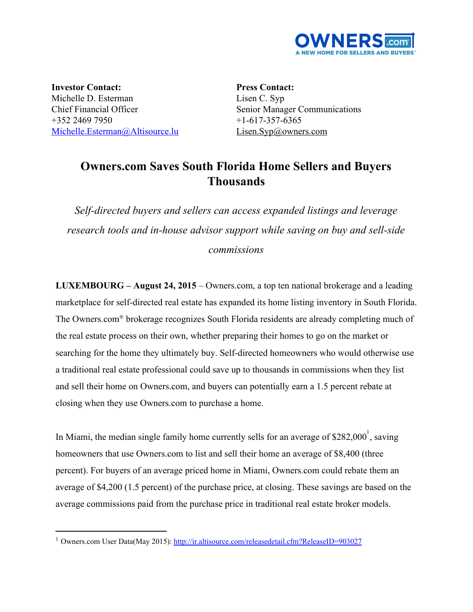

**Investor Contact:** Michelle D. Esterman Chief Financial Officer +352 2469 7950 [Michelle.Esterman@Altisource.lu](mailto:Michelle.Esterman@Altisource.lu)

**Press Contact:** Lisen C. Syp Senior Manager Communications  $+1-617-357-6365$ [Lisen.Syp@owners.com](mailto:Lisen.Syp@owners.com)

## **Owners.com Saves South Florida Home Sellers and Buyers Thousands**

*Self-directed buyers and sellers can access expanded listings and leverage research tools and in-house advisor support while saving on buy and sell-side commissions*

**LUXEMBOURG – August 24, 2015**– Owners.com, a top ten national brokerage and a leading marketplace for self-directed real estate has expanded its home listing inventory in South Florida. The Owners.com® brokerage recognizes South Florida residents are already completing much of the real estate process on their own, whether preparing their homes to go on the market or searching for the home they ultimately buy. Self-directed homeowners who would otherwise use a traditional real estate professional could save up to thousands in commissions when they list and sell their home on Owners.com, and buyers can potentially earn a 1.5 percent rebate at closing when they use Owners.com to purchase a home.

In Miami, the median single family home currently sells for an average of \$282,000<sup>1</sup>, saving homeowners that use Owners.com to list and sell their home an average of \$8,400 (three percent). For buyers of an average priced home in Miami, Owners.com could rebate them an average of \$4,200 (1.5 percent) of the purchase price, at closing. These savings are based on the average commissions paid from the purchase price in traditional real estate broker models.

<sup>&</sup>lt;sup>1</sup> Owners.com User Data(May 2015): <http://ir.altisource.com/releasedetail.cfm?ReleaseID=903027>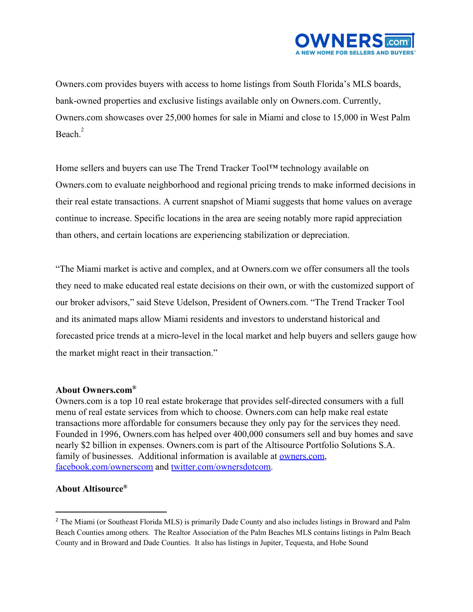

Owners.com provides buyers with access to home listings from South Florida's MLS boards, bank-owned properties and exclusive listings available only on Owners.com. Currently, Owners.com showcases over 25,000 homes for sale in Miami and close to 15,000 in West Palm Beach.<sup>2</sup>

Home sellers and buyers can use The Trend Tracker Tool™ technology available on Owners.com to evaluate neighborhood and regional pricing trends to make informed decisions in their real estate transactions. A current snapshot of Miami suggests that home values on average continue to increase. Specific locations in the area are seeing notably more rapid appreciation than others, and certain locations are experiencing stabilization or depreciation.

"The Miami market is active and complex, and at Owners.com we offer consumers all the tools they need to make educated real estate decisions on their own, or with the customized support of our broker advisors," said Steve Udelson, President of Owners.com. "The Trend Tracker Tool and its animated maps allow Miami residents and investors to understand historical and forecasted price trends at a micro-level in the local market and help buyers and sellers gauge how the market might react in their transaction."

## **About Owners.com®**

Owners.com is a top 10 real estate brokerage that provides self-directed consumers with a full menu of real estate services from which to choose. Owners.com can help make real estate transactions more affordable for consumers because they only pay for the services they need. Founded in 1996, Owners.com has helped over 400,000 consumers sell and buy homes and save nearly \$2 billion in expenses. Owners.com is part of the Altisource Portfolio Solutions S.A. family of businesses. Additional information is available at [owners.com,](http://www.owners.com/?utm_campaign=OWNERSMIAMI&utm_source=PR&utm_content=boilerplate_link) [facebook.com/ownerscom](http://www.facebook.com/ownerscom) and [twitter.com/ownersdotcom.](https://twitter.com/ownersdotcom)

## **About Altisource®**

<sup>2</sup> The Miami (or Southeast Florida MLS) is primarily Dade County and also includes listings in Broward and Palm Beach Counties among others. The Realtor Association of the Palm Beaches MLS contains listings in Palm Beach County and in Broward and Dade Counties. It also has listings in Jupiter, Tequesta, and Hobe Sound